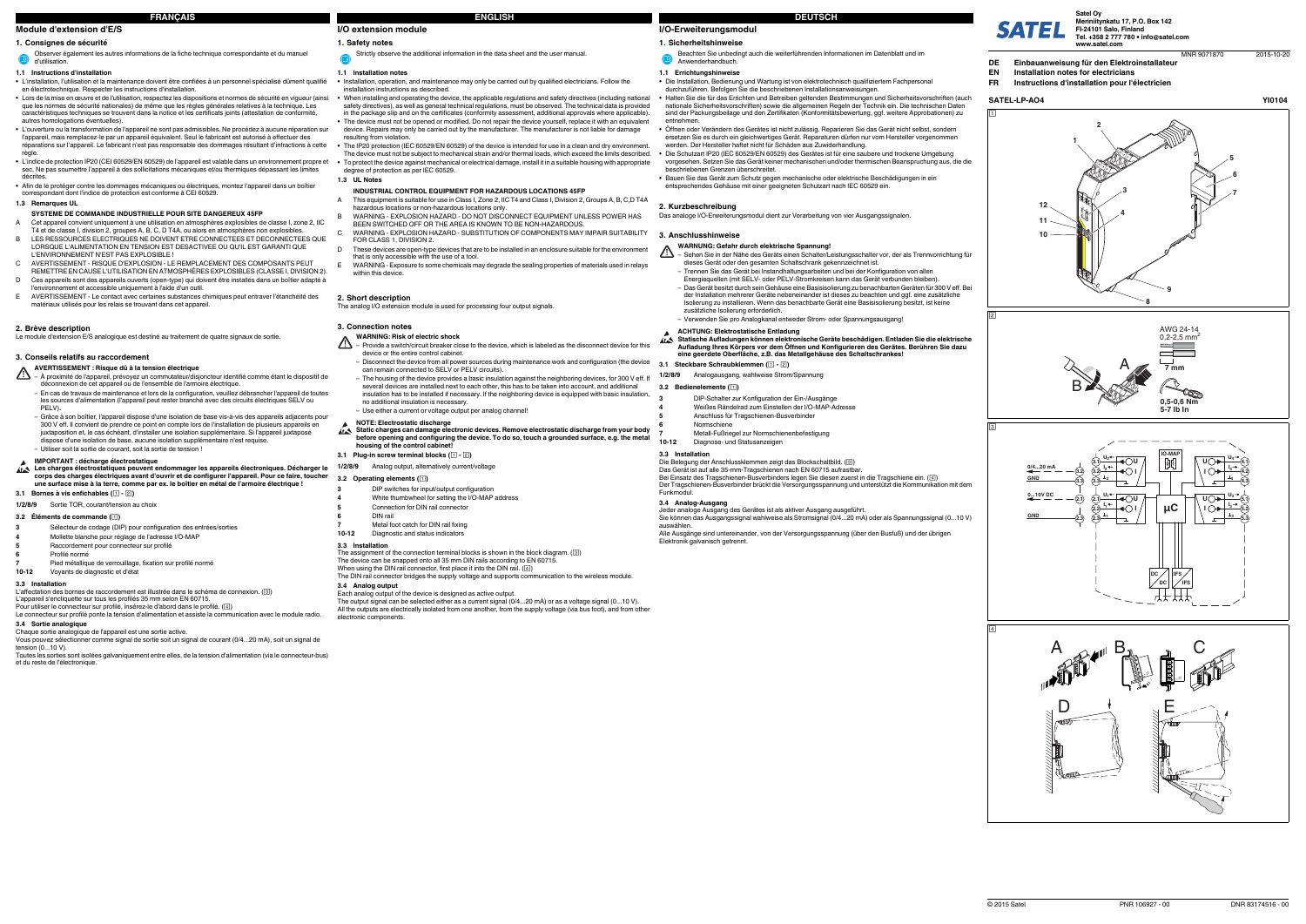# **I/O-Erweiterungsmodul**

### **1.** Sicherheitshinweis

#### **1.1 Errichtungshinweise**

- **•** Die Installation, Bedienung und Wartung ist von elektrotechnisch qualifiziertem Fachpersonal durchzuführen. Befolgen Sie die beschriebenen Installationsanweisungen.
- **•** Halten Sie die für das Errichten und Betreiben geltenden Bestimmungen und Sicherheitsvorschriften (auch nationale Sicherheitsvorschriften) sowie die allgemeinen Regeln der Technik ein. Die technischen Daten sind der Packungsbeilage und den Zertifikaten (Konformitätsbewertung, ggf. weitere Approbationen) zu entnehmen.
- **•** Öffnen oder Verändern des Gerätes ist nicht zulässig. Reparieren Sie das Gerät nicht selbst, sondern ersetzen Sie es durch ein gleichwertiges Gerät. Reparaturen dürfen nur vom Hersteller vorgenommen werden. Der Hersteller haftet nicht für Schäden aus Zuwiderhandlung.
- **•** Die Schutzart IP20 (IEC 60529/EN 60529) des Gerätes ist für eine saubere und trockene Umgebung vorgesehen. Setzen Sie das Gerät keiner mechanischen und/oder thermischen Beanspruchung aus, die die beschriebenen Grenzen überschreitet.
- **•** Bauen Sie das Gerät zum Schutz gegen mechanische oder elektrische Beschädigungen in ein entsprechendes Gehäuse mit einer geeigneten Schutzart nach IEC 60529 ein.

Das Gerät ist auf alle 35-mm-Tragschienen nach EN 60715 aufrastbar.<br>Bei Einsatz des Tragschienen-Busverbinders legen Sie diesen zuerst in die Tragschiene ein. (④) Der Tragschienen-Busverbinder brückt die Versorgungsspannung und unterstützt die Kommunikation mit dem

# **2. Kurzbeschreibung**

Das analoge I/O-Erweiterungsmodul dient zur Verarbeitung von vier Ausgangssignalen.

#### **3. Anschlusshinweise**

**3.1 Steckbare Schraubklemmen ( - )**

**3.2 Bedienelemente ( )**

**3.3 Installation**

- $\Delta$ – Sehen Sie in der Nähe des Geräts einen Schalter/Leistungsschalter vor, der als Trennvorrichtung für dieses Gerät oder den gesamten Schaltschrank gekennzeichnet ist.
	- Trennen Sie das Gerät bei Instandhaltungsarbeiten und bei der Konfiguration von allen Energiequellen (mit SELV- oder PELV-Stromkreisen kann das Gerät verbunden bleiben).
	- Das Gerät besitzt durch sein Gehäuse eine Basisisolierung zu benachbarten Geräten für 300 V eff. Bei der Installation mehrerer Geräte nebeneinander ist dieses zu beachten und ggf. eine zusätzliche Isolierung zu installieren. Wenn das benachbarte Gerät eine Basisisolierung besitzt, ist keine zusätzliche Isolierung erforderlich.

Funkmodul.**3.4 Analog-Ausgang**

Jeder analoge Ausgang des Gerätes ist als aktiver Ausgang ausgeführt. Sie können das Ausgangssignal wahlweise als Stromsignal (0/4...20 mA) oder als Spannungssignal (0...10 V) auswählen. Alle Ausgänge sind untereinander, von der Versorgungsspannung (über den Busfuß) und der übrigen

Elektronik galvanisch getrennt.

Beachten Sie unbedingt auch die weiterführenden Informationen im Datenblatt und im Anwenderhandbuch.

# **WARNUNG: Gefahr durch elektrische Spannung!**

L'appareil s'encliquette sur tous les profilés 35 mm selon EN 60715.<br>Pour utiliser le connecteur sur profilé, insérez-le d'abord dans le profilé. (④) Le connecteur sur profilé ponte la tension d'alimentation et assiste la communication avec le module radio.

Vous pouvez sélectionner comme signal de sortie soit un signal de courant (0/4...20 mA), soit un signal de tension  $(0.10 \text{ V})$ 

Toutes les sorties sont isolées galvaniquement entre elles, de la tension d'alimentation (via le connecteur-bus) et du reste de l'électronique

– Verwenden Sie pro Analogkanal entweder Strom- oder Spannungsausgang!

# **ACHTUNG: Elektrostatische Entladung Statische Aufladungen können elektronische Geräte beschädigen. Entladen Sie die elektrische**

**Aufladung Ihres Körpers vor dem Öffnen und Konfigurieren des Gerätes. Berühren Sie dazu eine geerdete Oberfläche, z.B. das Metallgehäuse des Schaltschrankes!**

**1/2/8/9** Analogausgang, wahlweise Strom/Spannung

**3**

DIP-Schalter zur Konfiguration der Ein-/Ausgänge

**4**

Weißes Rändelrad zum Einstellen der I/O-MAP-Adresse

**5**

Anschluss für Tragschienen-Busverbinder

**6**

Normschiene

**7**

Metall-Fußriegel zur Normschienenbefestigung

**10-12**

Diagnose- und Statusanzeigen

Die Belegung der Anschlussklemmen zeigt das Blockschaltbild. (**3**)

# **Module d'extension d'E/S**

#### **1. Consignes de sécurité**

# **1.1 Instructions d'installation**

- ΛN – À proximité de l'appareil, prévoyez un commutateur/disjoncteur identifié comme étant le dispositif de déconnexion de cet appareil ou de l'ensemble de l'armoire électrique.
- En cas de travaux de maintenance et lors de la configuration, veuillez débrancher l'appareil de toutes les sources d'alimentation (l'appareil peut rester branché avec des circuits électriques SELV ou PELV).
- Grâce à son boîtier, l'appareil dispose d'une isolation de base vis-à-vis des appareils adjacents pour 300 V eff. Il convient de prendre ce point en compte lors de l'installation de plusieurs appareils en juxtaposition et, le cas échéant, d'installer une isolation supplémentaire. Si l'appareil juxtaposé dispose d'une isolation de base, aucune isolation supplémentaire n'est requise.
- Utiliser soit la sortie de courant, soit la sortie de tension !
- **•** L'installation, l'utilisation et la maintenance doivent être confiées à un personnel spécialisé dûment qualifié en électrotechnique. Respecter les instructions d'installation.
- **•** Lors de la mise en œuvre et de l'utilisation, respectez les dispositions et normes de sécurité en vigueur (ainsi que les normes de sécurité nationales) de même que les règles générales relatives à la technique. Les caractéristiques techniques se trouvent dans la notice et les certificats joints (attestation de conformité, autres homologations éventuelles).
- **•** L'ouverture ou la transformation de l'appareil ne sont pas admissibles. Ne procédez à aucune réparation sur l'appareil, mais remplacez-le par un appareil équivalent. Seul le fabricant est autorisé à effectuer des réparations sur l'appareil. Le fabricant n'est pas responsable des dommages résultant d'infractions à cette
- règle. **•** L'indice de protection IP20 (CEI 60529/EN 60529) de l'appareil est valable dans un environnement propre et sec. Ne pas soumettre l'appareil à des sollicitations mécaniques et/ou thermiques dépassant les limites décrites.
- **•** Afin de le protéger contre les dommages mécaniques ou électriques, montez l'appareil dans un boîtier correspondant dont l'indice de protection est conforme à CEI 60529.

- The assignment of the connection terminal blocks is shown in the block diagram. ( ) The device can be snapped onto all 35 mm DIN rails according to EN 60715.
- 
- When using the DIN rail connector, first place it into the DIN rail. (4) The DIN rail connector bridges the supply voltage and supports communication to the wireless module

### **1.3 Remarques UL**

#### **2. Brève description**

Le module d'extension E/S analogique est destiné au traitement de quatre signaux de sortie.

#### **3. Conseils relatifs au raccordement**

#### **3.1 Bornes à vis enfichables ( - )**

#### **3.2 Éléments de commande ( )**

# **3.3 Installation**

- **INDUSTRIAL CONTROL EQUIPMENT FOR HAZARDOUS LOCATIONS 45FP**
- A This equipment is suitable for use in Class I, Zone 2, IIC T4 and Class I, Division 2, Groups A, B, C,D T4A
- hazardous locations or non-hazardous locations only. B WARNING - EXPLOSION HAZARD - DO NOT DISCONNECT EQUIPMENT UNLESS POWER HAS
- BEEN SWITCHED OFF OR THE AREA IS KNOWN TO BE NON-HAZARDOUS.C WARNING - EXPLOSION HAZARD - SUBSTITUTION OF COMPONENTS MAY IMPAIR SUITABILITY
- FOR CLASS 1, DIVISION 2. D These devices are open-type devices that are to be installed in an enclosure suitable for the environment
- that is only accessible with the use of a tool. E WARNING - Exposure to some chemicals may degrade the sealing properties of materials used in relays within this device

# **3.4 Sortie analogique**

Chaque sortie analogique de l'appareil est une sortie active.

Observer également les autres informations de la fiche technique correspondante et du manuel d'utilisation.

# **SYSTEME DE COMMANDE INDUSTRIELLE POUR SITE DANGEREUX 45FP**

- ΛŃ. – Provide a switch/circuit breaker close to the device, which is labeled as the disconnect device for this device or the entire control cabinet.
- Disconnect the device from all power sources during maintenance work and configuration (the device can remain connected to SELV or PELV circuits).
- The housing of the device provides a basic insulation against the neighboring devices, for 300 V eff. If several devices are installed next to each other, this has to be taken into account, and additional insulation has to be installed if necessary. If the neighboring device is equipped with basic insulation, no additional insulation is necessary.
- Use either a current or voltage output per analog channel!

# $45$

Satel Oy<br>Meriniitynkatu 17, P.O. Box 142<br>FI-24101 Salo, Finland **Tel. +358 2 777 780 info@satel.comwww.satel.com**MNR 9071870

- A Cet appareil convient uniquement à une utilisation en atmosphères explosibles de classe I, zone 2, IIC T4 et de classe I, division 2, groupes A, B, C, D T4A, ou alors en atmosphères non explosibles.
- B LES RESSOURCES ELECTRIQUES NE DOIVENT ETRE CONNECTEES ET DECONNECTEES QUE LORSQUE L'ALIMENTATION EN TENSION EST DESACTIVEE OU QU'IL EST GARANTI QUE L'ENVIRONNEMENT N'EST PAS EXPLOSIBLE ! C AVERTISSEMENT - RISQUE D'EXPLOSION - LE REMPLACEMENT DES COMPOSANTS PEUT
- REMETTRE EN CAUSE L'UTILISATION EN ATMOSPHÈRES EXPLOSIBLES (CLASSE I, DIVISION 2). D Ces appareils sont des appareils ouverts (open-type) qui doivent être installés dans un boîtier adapté à
- l'environnement et accessible uniquement à l'aide d'un outil. E AVERTISSEMENT - Le contact avec certaines substances chimiques peut entraver l'étanchéité des
- matériaux utilisés pour les relais se trouvant dans cet appareil.

#### **AVERTISSEMENT : Risque dû à la tension électrique**

#### **IMPORTANT : décharge électrostatique**

**Les charges électrostatiques peuvent endommager les appareils électroniques. Décharger le corps des charges électriques avant d'ouvrir et de configurer l'appareil. Pour ce faire, toucher une surface mise à la terre, comme par ex. le boîtier en métal de l'armoire électrique !**

**1/2/8/9**Sortie TOR, courant/tension au choix

**3**

L'affectation des bornes de raccordement est illustrée dans le schéma de connexion. (3)

- Sélecteur de codage (DIP) pour configuration des entrées/sorties
- **4** Mollette blanche pour réglage de l'adresse I/O-MAP Raccordement pour connecteur sur profilé
- **5**
- **6**Profilé normé
- **7**Pied métallique de verrouillage, fixation sur profilé normé
- **10-12**Voyants de diagnostic et d'état

# **I/O extension module**

### **1.1 Installation notes**

- **•** Installation, operation, and maintenance may only be carried out by qualified electricians. Follow the installation instructions as described.
- When installing and operating the device, the applicable regulations and safety directives (including national safety directives), as well as general technical regulations, must be observed. The technical data is provided in the package slip and on the certificates (conformity assessment, additional approvals where applicable). **•**The device must not be opened or modified. Do not repair the device yourself, replace it with an equivalent device. Repairs may only be carried out by the manufacturer. The manufacturer is not liable for damage resulting from violation.
- **•** The IP20 protection (IEC 60529/EN 60529) of the device is intended for use in a clean and dry environment. The device must not be subject to mechanical strain and/or thermal loads, which exceed the limits described. **•** To protect the device against mechanical or electrical damage, install it in a suitable housing with appropriate degree of protection as per IEC 60529.

**1. Safety notes** Strictly observe the additional information in the data sheet and the user manual.

#### **1.3 UL Notes**

### **2. Short description**

The analog I/O extension module is used for processing four output signals.

**3. Connection notes**

#### **3.2 Operating elements ( )**

# **3.3 Installation**

#### **3.4 Analog output**

Each analog output of the device is designed as active output. The output signal can be selected either as a current signal (0/4...20 mA) or as a voltage signal (0...10 V). All the outputs are electrically isolated from one another, from the supply voltage (via bus foot), and from other electronic components.

#### **WARNING: Risk of electric shock**

- **NOTE: Electrostatic discharge Static charges can damage electronic devices. Remove electrostatic discharge from your body before opening and configuring the device. To do so, touch a grounded surface, e.g. the metal housing of the control cabinet!**
- **3.1 Plug-in screw terminal blocks ( )**
- **1/2/8/9** Analog output, alternatively current/voltage

- **3**DIP switches for input/output configuration
- **4**White thumbwheel for setting the I/O-MAP address
- **5**Connection for DIN rail connector
- **6**DIN rail
- **7**Metal foot catch for DIN rail fixing
- **10-12**Diagnostic and status indicators



# **SATEL-LP-AO4 YI0104**



# $\overline{2}$



 $\overline{3}$ 







- **DE Einbauanweisung für den Elektroinstallateur**
- **EN Installation notes for electricians**
- **FR Instructions d'installation pour l'électricien**

2015-10-20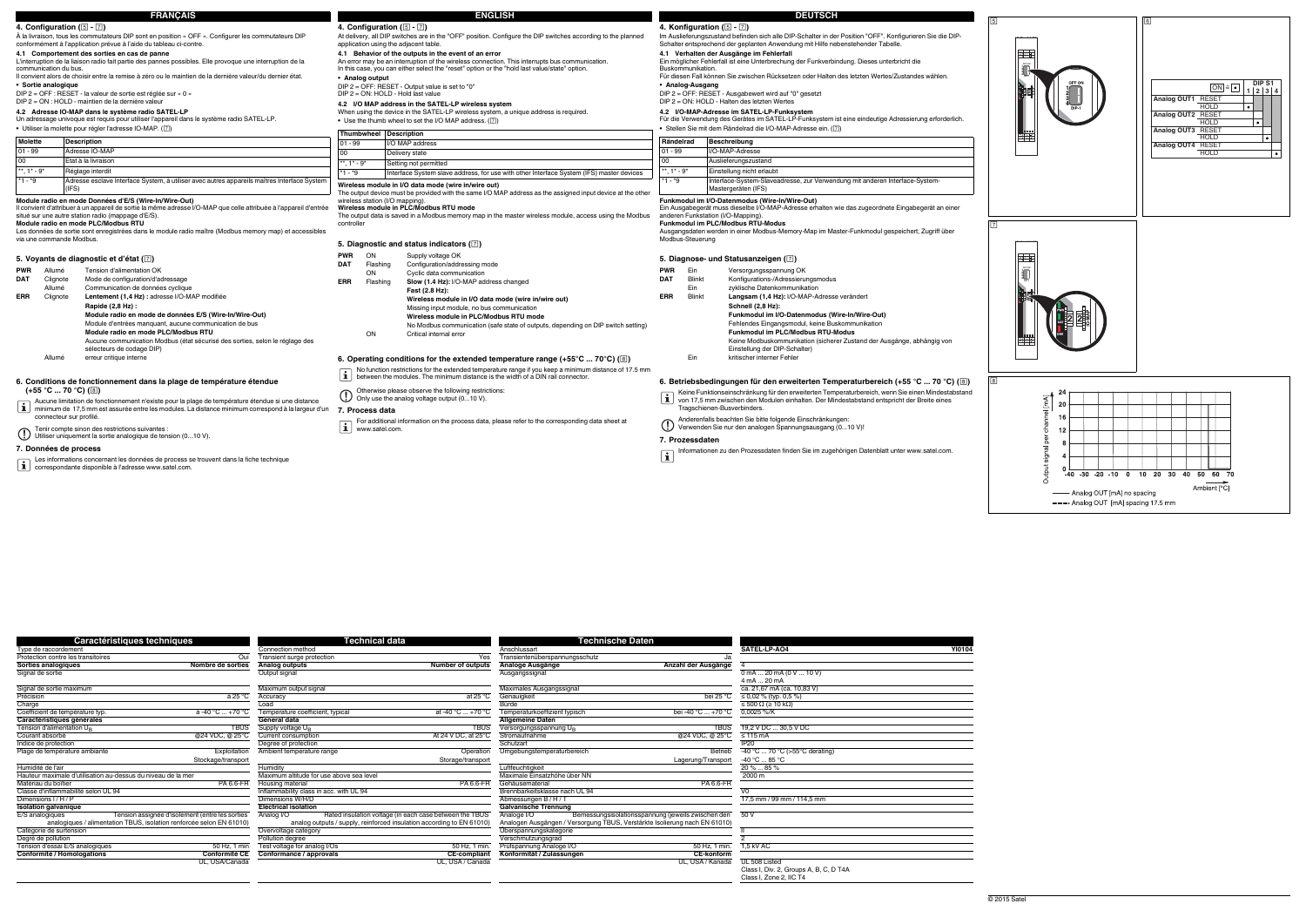**Caractéristiques techniques Technical data Technische Daten**

**Sorties analogiques**<br> **Sorties analogiques**<br> **Sorties analogiques**<br> **Sorties analogiques**<br> **Sorties analogiques**<br> **Analogiques**<br> **Analogiques**<br> **Analogiques**<br> **Analogiques**<br> **Analogiques**<br> **Analogiques**<br> **Analogiques**<br> **A** Signal de sortie Output signal Ausgangssignal 0 mA ... 20 mA (0 V ... 10 V)

4 mA ... 20 mAca. 21,67 mA (ca. 10,83 V)

Signal de sortie maximum Maximum output signal Maximales Ausgangssignal ca. 21,67 mA (ca. 10,83 V) Précision bei 25 °C (Accuracy à 25 °C Accuracy at 25 °C accuracy at 25 °C Genauigkeit bei 25 °C bei 25 °C ≤ 0,02 % (typ. 0,5 %)<br>Charge definition of the state of the state of the state of the state of the state of the sta

Ambient temperature ambient temperature range Deration Detailed Development Detailed Betrieb -40 °C ... 70 °C (>55°C derating)<br>
Plage de température ambiante ambient entre Exploitation Ambient temperature range Storage/tr

Dimensions I/H/P **Electrical isolation**<br> **Electrical isolation**<br> **Electrical isolation**<br> **Calvanische Trennung Calvanische Trennung Calvanische Trennung Calvanische Trennung** 

Rated insulation voltage (in each case between the TBUS

Degré de pollution<br>
Tension d'essai E/S analogiques **1998** SOME, 1 min and the many of the Test voltage for analog I/Os<br> **Conformité / Homologations** 2012, 1 min. **Conformité CE** Conformité CE Conformité CE Conformité / CE Tension d'essai E/S analogiques **1992** Electrophysic de la Conformité CE de la Conformité CE de la Conformité CE<br>
Tension d'essai E/S analogiques **1993 Conformité CE de la Conformité CE de la CE-compliant** CE-compliant **1,** 

analog analog outputs / supply, reinforced insulation according to EN 61010)<br>Dvervoltage category

Courant absorbé entre entre entre entre en la consumption and the entrepreneur and the entrepreneur and the entrepreneur and the entrepreneur and the entrepreneur and the entrepreneur and the entrepreneur and the entrepre Indice de protection **IP20** and the control of protection **Degree of protection** Degree of protection Schutzart Schutzart IP20

Humidité de l'air and the controller de lair de la controller de la controller de la controller de la controller de la controller de la controller de la controller de la controller de la controller de la controller de la c Hauteur maximale d'utilisation au-dessus du niveau de la mer **Maximum altitude for use above sea level** Maximum and Maximum altitude for use above sea level Maximum altitude for use above sea level Maximale Einsatzhöhe übe Matériau du boîtier en the Santa Charles and the Charles PA 6.6-FR Housing material PA 6.6-FR Gehäusematerial PA 6.6-FR Gehäusematerial PA 6.6-FR Gehäusematerial PA 6.6-FR Gehäusematerial PA 6.6-FR Gehäusematerial PA 6.6-F

TBUS Supply voltage UB TBUS Versorgungsspannung UB TBUS 19,2 V DC ... 30,5 V DC

Storage/transport Europe Contact Contact Contact Contact Contact Contact Contact Contact Contact Contact Contact Contact Contact Contact Contact Contact Contact Contact Contact Contact Contact Contact Contact Contact Conta

**Conformité CE**<br> **Conformité CE**<br> **CE <b>Conformance / approvals**<br> **UL, USA / Canada**<br> **UL, USA / Canada**<br> **UL, USA / Canada** 

E/S analogiques Tension assignée d'isolement (entre les sorties analogiques / alimentation TBUS, isolation renforcée selon EN 61010)

50 V

Keine Funktionseinschränkung für den erweiterten Temperaturbereich, wenn Sie einen Mindestabstand<br>von 17,5 mm zwischen den Modulen einhalten. Der Mindestabstand entspricht der Breite eines Tragschienen-Busverbinders.

UL, USA/Canada UL, USA / Canada UL, USA / Kanada UL 508 Listed

Analoge I/O Bemessungsisolationsspannung (jeweils zwischen den<br>Analogen Ausgängen / Versorgung TBUS, Verstärkte Isolierung nach EN 61010)

Class I, Div. 2, Groups A, B, C, D T4A

Class I, Zone 2, IIC T4

# Ein möglicher Fehlerfall ist eine Unterbrechung der Funkverbindung. Dieses unterbricht die

# **Funkmodul im PLC/Modbus RTU-Modus**

# **5. Diagnose- und Statusanzeigen ()**

## **6. Betriebsbedingungen für den erweiterten Temperaturbereich (+55 °C ... 70 °C) ()**

# **7. Prozessdaten**

| Rändelrad    | Beschreibung                                                                |
|--------------|-----------------------------------------------------------------------------|
| $01 - 99$    | I/O-MAP-Adresse                                                             |
| 100          | Auslieferungszustand                                                        |
| ** $1* - 9*$ | Einstellung nicht erlaubt                                                   |
| $*1 - *9$    | Interface-System-Slaveadresse, zur Verwendung mit anderen Interface-System- |

- **PWR**Ein Versorgungsspannung OK<br>Blinkt Konfigurations-/Adressieru **DAT**Konfigurations-/Adressierungsmodus Ein zyklische Datenkommunikation **ERR** Blinkt **Langsam (1,4 Hz):** I/O-MAP-Adresse verändert **Schnell (2,8 Hz):**
	- **Funkmodul im I/O-Datenmodus (Wire-In/Wire-Out)**
	- Fehlendes Eingangsmodul, keine Buskommunikation **Funkmodul im PLC/Modbus RTU-Modus**

Informationen zu den Prozessdaten finden Sie im zugehörigen Datenblatt unter www.satel.com.

- Keine Modbuskommunikation (sicherer Zustand der Ausgänge, abhängig von Einstellung der DIP-Schalter)
- Ein kritischer interner Fehler

Anderenfalls beachten Sie bitte folgende Einschränkungen: Verwenden Sie nur den analogen Spannungsausgang (0...10 V)!

# **6. Conditions de fonctionnement dans la plage de température étendue**

 $(+55 °C ... 70 °C)$  ( $\circledcirc$ )

# **7. Données de process**

Tension d'alimentation U<sub>I</sub><br>Courant absorbé

Allumé erreur critique interne

- Aucune limitation de fonctionnement n'existe pour la plage de température étendue si une distance minimum de 17,5 mm est assurée entre les modules. La distance minimum correspond à la largeur d'un connecteur sur profilé.
- 
- Tenir compte sinon des restrictions suivantes : Utiliser uniquement la sortie analogique de tension (0...10 V).

Les informations concernant les données de process se trouvent dans la fiche technique correspondante disponible à l'adresse www.satel.com.

Protection contre les transitoires **Contre in the Contre Contre Contre Contre Contre Contre Contre Contre Contre Contre Contre Contre Contre Contre Contre Contre Contre Contre Contre Contre Contre Contre Contre Contre Cont** 

**Caractéristiques générales**<br> **Caractéristiques générales**<br> **Caractéristiques générales**<br> **Caractéristiques générales**<br> **Caractéristiques générales**<br> **Caractéristiques générales**<br> **Caractéristiques générales** 

Classe d'inflammabilité selon UL 94 Inflammability class in acc. with UL 94 Brennbarkeitsklasse nach UL 94 Brennbarkeitsklasse nach UL 94 Brennbarkeitsklasse nach UL 94 Brennbarkeitsklasse nach UL 94 Brennbarkeitsklasse na

**ISOLATE:**<br> **ISOLATE:**<br> **ISOLATE:**<br> **ISOLATE:**<br> **ISOLATE:**<br> **ISOLATE:**<br> **ISOLATE:**<br> **ISOLATE:**<br> **ISOLATE:**<br> **ISOLATE:**<br> **ISOLATE:**<br> **ISOLATE:**<br> **ISOLATE:**<br> **ISOLATE:**<br> **ISOLATE:**<br> **ISOLATE:**<br> **ISOLATE:**<br> **ISOLATE:**<br> **ISOLA** 

Catégorie de surtension Diversion Covervoltage category Diversion Covervoltage category Diversion Diversion Diversion Diversion Diversion Diversion Diversion Diversion Diversion Diversion Diversion Diversion Diversion Dive

|                                                                                    | <b>FRANÇAIS</b>                                                                                                                                                                                                                                                                                                                                                                                                                                                                                                                                                                                               |                                 |                                        | <b>ENGLISH</b>                                                                                                                                                                                                                                                                                                                                                                                                                                                                                                                                                |                                                                                                                                                                                              |                                       | <b>DEUTSCH</b>                                                                                                                                                                                                                                                                                                                                                                                                                                                                                                                                                           |                                                                                |  |
|------------------------------------------------------------------------------------|---------------------------------------------------------------------------------------------------------------------------------------------------------------------------------------------------------------------------------------------------------------------------------------------------------------------------------------------------------------------------------------------------------------------------------------------------------------------------------------------------------------------------------------------------------------------------------------------------------------|---------------------------------|----------------------------------------|---------------------------------------------------------------------------------------------------------------------------------------------------------------------------------------------------------------------------------------------------------------------------------------------------------------------------------------------------------------------------------------------------------------------------------------------------------------------------------------------------------------------------------------------------------------|----------------------------------------------------------------------------------------------------------------------------------------------------------------------------------------------|---------------------------------------|--------------------------------------------------------------------------------------------------------------------------------------------------------------------------------------------------------------------------------------------------------------------------------------------------------------------------------------------------------------------------------------------------------------------------------------------------------------------------------------------------------------------------------------------------------------------------|--------------------------------------------------------------------------------|--|
|                                                                                    | 4. Configuration (5 - 7)                                                                                                                                                                                                                                                                                                                                                                                                                                                                                                                                                                                      |                                 | 4. Configuration ( $5 - 7$ )           |                                                                                                                                                                                                                                                                                                                                                                                                                                                                                                                                                               |                                                                                                                                                                                              |                                       | 4. Konfiguration (5 - 7)                                                                                                                                                                                                                                                                                                                                                                                                                                                                                                                                                 |                                                                                |  |
|                                                                                    | À la livraison, tous les commutateurs DIP sont en position « OFF », Configurer les commutateurs DIP<br>conformément à l'application prévue à l'aide du tableau ci-contre.                                                                                                                                                                                                                                                                                                                                                                                                                                     |                                 |                                        | At delivery, all DIP switches are in the "OFF" position. Configure the DIP switches according to the planned<br>application using the adjacent table.                                                                                                                                                                                                                                                                                                                                                                                                         | Im Auslieferungszustand befinden sich alle DIP-Schalter in der Position "OFF". Konfigurieren Sie die DIP-<br>Schalter entsprechend der geplanten Anwendung mit Hilfe nebenstehender Tabelle. |                                       |                                                                                                                                                                                                                                                                                                                                                                                                                                                                                                                                                                          |                                                                                |  |
| communication du bus.<br>· Sortie analogique                                       | 4.1 Comportement des sorties en cas de panne<br>L'interruption de la liaison radio fait partie des pannes possibles. Elle provoque une interruption de la<br>Il convient alors de choisir entre la remise à zéro ou le maintien de la dernière valeur/du dernier état.<br>DIP 2 = OFF : RESET - la valeur de sortie est réglée sur « 0 »<br>DIP 2 = ON : HOLD - maintien de la dernière valeur<br>4.2 Adresse IO-MAP dans le système radio SATEL-LP<br>Un adressage univoque est requis pour utiliser l'appareil dans le système radio SATEL-LP.<br>• Utiliser la molette pour régler l'adresse IO-MAP. ([7]) | • Analog output                 |                                        | 4.1 Behavior of the outputs in the event of an error<br>An error may be an interruption of the wireless connection. This interrupts bus communication.<br>In this case, you can either select the "reset" option or the "hold last value/state" option.<br>DIP 2 = OFF: RESET - Output value is set to "0"<br>$DIP$ 2 = $ON$ : HOLD - Hold last value<br>4.2 I/O MAP address in the SATEL-LP wireless system<br>When using the device in the SATEL-LP wireless system, a unique address is required.<br>• Use the thumb wheel to set the I/O MAP address. (7) | Buskommunikation.<br>• Analog-Ausgang                                                                                                                                                        |                                       | 4.1 Verhalten der Ausgänge im Fehlerfall<br>Ein möglicher Fehlerfall ist eine Unterbrechung der Funkverbindung. Dieses unterbricht die<br>Für diesen Fall können Sie zwischen Rücksetzen oder Halten des letzten Wertes/Zustandes wählen.<br>DIP 2 = OFF: RESET - Ausgabewert wird auf "0" gesetzt<br>DIP 2 = ON: HOLD - Halten des letzten Wertes<br>4.2 I/O-MAP-Adresse im SATEL-LP-Funksystem<br>Für die Verwendung des Gerätes im SATEL-LP-Funksystem ist eine eindeutige Adressierung erforderlich.<br>• Stellen Sie mit dem Rändelrad die I/O-MAP-Adresse ein. (7) | <b>Rittle</b>                                                                  |  |
|                                                                                    |                                                                                                                                                                                                                                                                                                                                                                                                                                                                                                                                                                                                               |                                 | Thumbwheel Description                 |                                                                                                                                                                                                                                                                                                                                                                                                                                                                                                                                                               |                                                                                                                                                                                              |                                       |                                                                                                                                                                                                                                                                                                                                                                                                                                                                                                                                                                          | <b>MATE</b>                                                                    |  |
| <b>Molette</b>                                                                     | <b>Description</b>                                                                                                                                                                                                                                                                                                                                                                                                                                                                                                                                                                                            | $01 - 99$                       |                                        | I/O MAP address                                                                                                                                                                                                                                                                                                                                                                                                                                                                                                                                               | Rändelrad                                                                                                                                                                                    |                                       | Beschreibung                                                                                                                                                                                                                                                                                                                                                                                                                                                                                                                                                             |                                                                                |  |
| $01 - 99$                                                                          | Adresse IO-MAP                                                                                                                                                                                                                                                                                                                                                                                                                                                                                                                                                                                                | 00                              |                                        | Delivery state                                                                                                                                                                                                                                                                                                                                                                                                                                                                                                                                                | $01 - 99$                                                                                                                                                                                    |                                       | I/O-MAP-Adresse                                                                                                                                                                                                                                                                                                                                                                                                                                                                                                                                                          |                                                                                |  |
| l 00                                                                               | Etat à la livraison                                                                                                                                                                                                                                                                                                                                                                                                                                                                                                                                                                                           | **, $1^*$ - $9^*$               |                                        | Setting not permitted                                                                                                                                                                                                                                                                                                                                                                                                                                                                                                                                         | 00                                                                                                                                                                                           |                                       | Auslieferungszustand                                                                                                                                                                                                                                                                                                                                                                                                                                                                                                                                                     |                                                                                |  |
| **, $1* - 9*$                                                                      | Réglage interdit                                                                                                                                                                                                                                                                                                                                                                                                                                                                                                                                                                                              | $*1 - *9$                       |                                        | Interface System slave address, for use with other Interface System (IFS) master devices                                                                                                                                                                                                                                                                                                                                                                                                                                                                      | **, $1^*$ - $9^*$                                                                                                                                                                            |                                       | Einstellung nicht erlaubt                                                                                                                                                                                                                                                                                                                                                                                                                                                                                                                                                |                                                                                |  |
| $*1 - *9$                                                                          | Adresse esclave Interface System, à utiliser avec autres appareils maîtres Interface System<br>(IFS)                                                                                                                                                                                                                                                                                                                                                                                                                                                                                                          |                                 |                                        | Wireless module in I/O data mode (wire in/wire out)<br>The output device must be provided with the same I/O MAP address as the assigned input device at the other                                                                                                                                                                                                                                                                                                                                                                                             | $*1 - *9$                                                                                                                                                                                    |                                       | Interface-System-Slaveadresse, zur Verwendung mit anderen Interface-System-<br>Mastergeräten (IFS)                                                                                                                                                                                                                                                                                                                                                                                                                                                                       |                                                                                |  |
| via une commande Modbus.                                                           | Module radio en mode Données d'E/S (Wire-In/Wire-Out)<br>Il convient d'attribuer à un appareil de sortie la même adresse I/O-MAP que celle attribuée à l'appareil d'entrée<br>situé sur une autre station radio (mappage d'E/S)<br>Module radio en mode PLC/Modbus RTU<br>Les données de sortie sont enregistrées dans le module radio maître (Modbus memory map) et accessibles                                                                                                                                                                                                                              | controller                      | wireless station (I/O mapping).        | Wireless module in PLC/Modbus RTU mode<br>The output data is saved in a Modbus memory map in the master wireless module, access using the Modbus<br>5. Diagnostic and status indicators (7)                                                                                                                                                                                                                                                                                                                                                                   | Modbus-Steuerung                                                                                                                                                                             |                                       | Funkmodul im I/O-Datenmodus (Wire-In/Wire-Out)<br>Ein Ausgabegerät muss dieselbe I/O-MAP-Adresse erhalten wie das zugeordnete Eingabegerät an einer<br>anderen Funkstation (I/O-Mapping).<br><b>Funkmodul im PLC/Modbus RTU-Modus</b><br>Ausgangsdaten werden in einer Modbus-Memory-Map im Master-Funkmodul gespeichert, Zugriff über                                                                                                                                                                                                                                   |                                                                                |  |
| <b>PWR</b><br>Allumé<br>Clignote<br><b>DAT</b><br>Allumé<br><b>ERR</b><br>Clignote | 5. Voyants de diagnostic et d'état ([7])<br>Tension d'alimentation OK<br>Mode de configuration/d'adressage<br>Communication de données cyclique<br>Lentement (1,4 Hz) : adresse I/O-MAP modifiée<br>Rapide (2,8 Hz) :<br>Module radio en mode de données E/S (Wire-In/Wire-Out)<br>Module d'entrées manquant, aucune communication de bus<br>Module radio en mode PLC/Modbus RTU<br>Aucune communication Modbus (état sécurisé des sorties, selon le réglage des<br>sélecteurs de codage DIP)                                                                                                                 | PWR<br><b>DAT</b><br><b>ERR</b> | ON<br>Flashing<br>ON<br>Flashing<br>ON | Supply voltage OK<br>Configuration/addressing mode<br>Cyclic data communication<br>Slow (1.4 Hz): I/O-MAP address changed<br>Fast (2.8 Hz):<br>Wireless module in I/O data mode (wire in/wire out)<br>Missing input module, no bus communication<br>Wireless module in PLC/Modbus RTU mode<br>No Modbus communication (safe state of outputs, depending on DIP switch setting)<br>Critical internal error                                                                                                                                                     | <b>PWF</b><br><b>DAT</b><br>ERR                                                                                                                                                              | Ein<br>Blinkt<br>Ein<br><b>Blinkt</b> | 5. Diagnose- und Statusanzeigen ( $\square$<br>Versorgungsspannung OK<br>Konfigurations-/Adressierungsmodus<br>zvklische Datenkommunikation<br>Langsam (1,4 Hz): I/O-MAP-Adresse verändert<br>Schnell (2,8 Hz):<br>Funkmodul im I/O-Datenmodus (Wire-In/Wire-Out)<br>Fehlendes Eingangsmodul, keine Buskommunikation<br>Funkmodul im PLC/Modbus RTU-Modus<br>Keine Modbuskommunikation (sicherer Zustand der Ausgänge, abhängig von<br>Einstellung der DIP-Schalter)                                                                                                     | ant.<br>$\begin{matrix} 1 & 0 \\ 0 & 0 \\ 0 & 0 \end{matrix}$<br><u>अप्तान</u> |  |

# **6.** Operating conditions for the extended temperature range (+55°C ... 70°C) (8)

## **7. Process data**

- No function restrictions for the extended temperature range if you keep a minimum distance of 17.5 mm between the modules. The minimum distance is the width of a DIN rail connector.
- 
- 

Otherwise please observe the following restrictions: Only use the analog voltage output (0...10 V).

For additional information on the process data, please refer to the corresponding data sheet at www.satel.com.

Type de raccordement **Connection method** Connection method **Connection method** Anschlussart Anschlussart **SATEL-LP-AO4** 

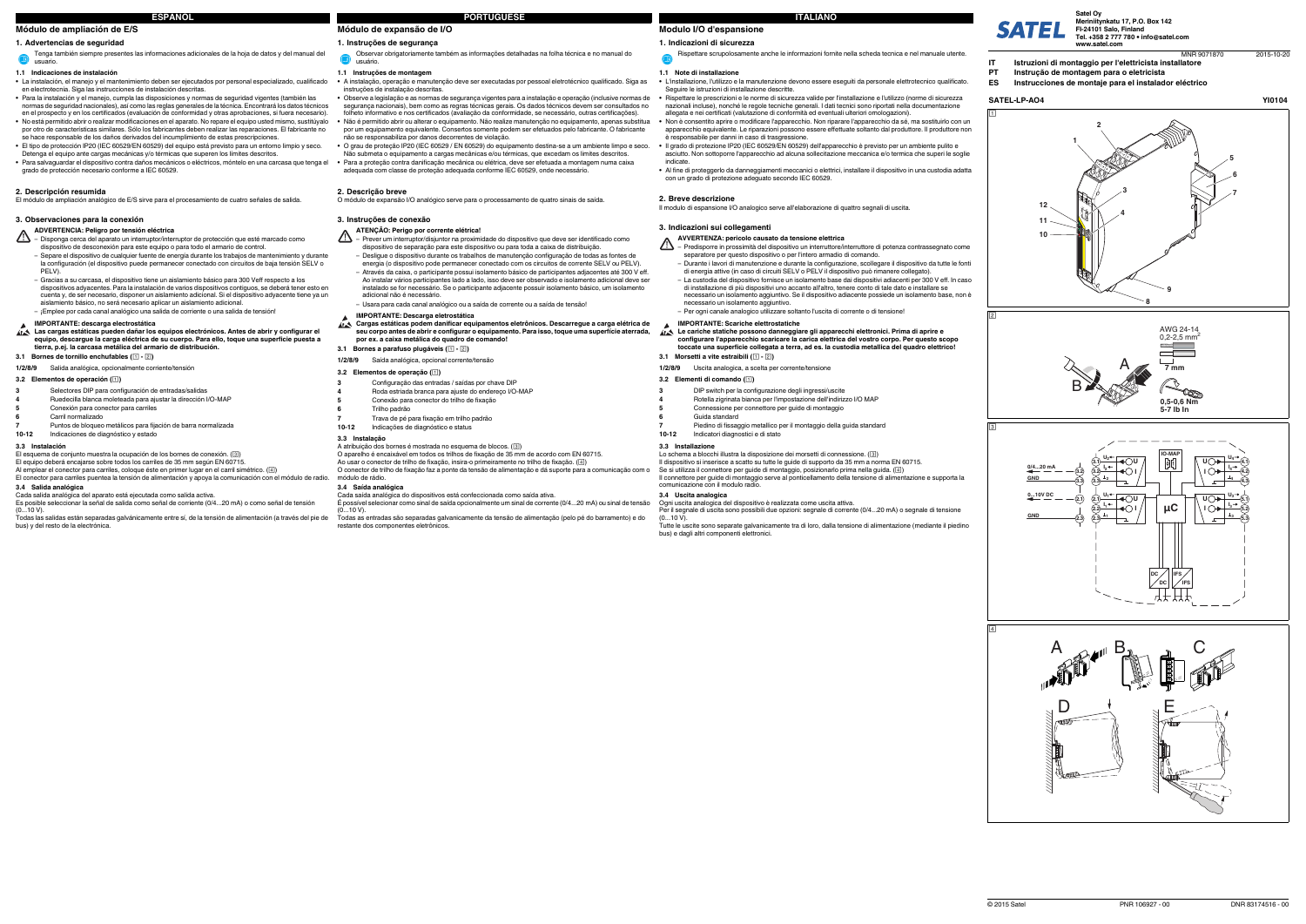#### **1. Indicazioni di sicurezza**

#### **1.1 Note di installazione**

- **•** L'installazione, l'utilizzo e la manutenzione devono essere eseguiti da personale elettrotecnico qualificato. Seguire le istruzioni di installazione descritte.
- **•** Rispettare le prescrizioni e le norme di sicurezza valide per l'installazione e l'utilizzo (norme di sicurezza nazionali incluse), nonché le regole tecniche generali. I dati tecnici sono riportati nella documentazione
- allegata e nei certificati (valutazione di conformità ed eventuali ulteriori omologazioni). **•** Non è consentito aprire o modificare l'apparecchio. Non riparare l'apparecchio da sé, ma sostituirlo con un
- apparecchio equivalente. Le riparazioni possono essere effettuate soltanto dal produttore. Il produttore non è responsabile per danni in caso di trasgressione.
- **•** Il grado di protezione IP20 (IEC 60529/EN 60529) dell'apparecchio è previsto per un ambiente pulito e asciutto. Non sottoporre l'apparecchio ad alcuna sollecitazione meccanica e/o termica che superi le soglie indicate.
- **•** Al fine di proteggerlo da danneggiamenti meccanici o elettrici, installare il dispositivo in una custodia adatta con un grado di protezione adeguato secondo IEC 60529.

Se si utilizza il connettore per guide di montaggio, posizionarlo prima nella guida. ( $\boxed{4}$ ) Il connettore per guide di montaggio serve al ponticellamento della tensione di alimentazione e supporta la comunicazione con il modulo radio.

### **2. Breve descrizione**

Il modulo di espansione I/O analogico serve all'elaborazione di quattro segnali di uscita.

#### **3. Indicazioni sui collegamenti**

#### **3.2 Elementi di comando ()**

#### **3.3 Installazione**

# Lo schema a blocchi illustra la disposizione dei morsetti di connessione. (③)<br>Il dispositivo si inserisce a scatto su tutte le guide di supporto da 35 mm a norma EN 60715.

- ⚠ – Predisporre in prossimità del dispositivo un interruttore/interruttore di potenza contrassegnato come separatore per questo dispositivo o per l'intero armadio di comando.
	- Durante i lavori di manutenzione e durante la configurazione, scollegare il dispositivo da tutte le fonti di energia attive (in caso di circuiti SELV o PELV il dispositivo può rimanere collegato).
	- La custodia del dispositivo fornisce un isolamento base dai dispositivi adiacenti per 300 V eff. In caso di installazione di più dispositivi uno accanto all'altro, tenere conto di tale dato e installare se necessario un isolamento aggiuntivo. Se il dispositivo adiacente possiede un isolamento base, non è necessario un isolamento aggiuntivo.
- Per ogni canale analogico utilizzare soltanto l'uscita di corrente o di tensione!

**3.4 Uscita analogica** Ogni uscita analogica del dispositivo è realizzata come uscita attiva. Per il segnale di uscita sono possibili due opzioni: segnale di corrente (0/4...20 mA) o segnale di tensione

Tutte le uscite sono separate galvanicamente tra di loro, dalla tensione di alimentazione (mediante il piedino

bus) e dagli altri componenti elettronici.

 $(0...10 V)$ .

Rispettare scrupolosamente anche le informazioni fornite nella scheda tecnica e nel manuale utente.

#### **AVVERTENZA: pericolo causato da tensione elettrica**

Al emplear el conector para carriles, coloque éste en primer lugar en el carril simétrico.  $(\Box)$ El conector para carriles puentea la tensión de alimentación y apoya la comunicación con el módulo de radio.

Cada salida analógica del aparato está ejecutada como salida activa. Es posible seleccionar la señal de salida como señal de corriente (0/4...20 mA) o como señal de tensión  $(0...10 V)$ .

# **IMPORTANTE: Scariche elettrostatiche**

- **Le cariche statiche possono danneggiare gli apparecchi elettronici. Prima di aprire e configurare l'apparecchio scaricare la carica elettrica del vostro corpo. Per questo scopo toccate una superficie collegata a terra, ad es. la custodia metallica del quadro elettrico!**
- **3.1 Morsetti a vite estraibili ( )**
- **1/2/8/9** Uscita analogica, a scelta per corrente/tensione
- Λ – Disponga cerca del aparato un interruptor/interruptor de protección que esté marcado como dispositivo de desconexión para este equipo o para todo el armario de control. Separe el dispositivo de cualquier fuente de energía durante los trabajos de mantenimiento y durante la configuración (el dispositivo puede permanecer conectado con circuitos de baja tensión SELV o PELV).
- Gracias a su carcasa, el dispositivo tiene un aislamiento básico para 300 Veff respecto a los dispositivos adyacentes. Para la instalación de varios dispositivos contiguos, se deberá tener esto en cuenta y, de ser necesario, disponer un aislamiento adicional. Si el dispositivo adyacente tiene ya un aislamiento básico, no será necesario aplicar un aislamiento adicional.

- **3**DIP switch per la configurazione degli ingressi/uscite
- **4**Rotella zigrinata bianca per l'impostazione dell'indirizzo I/O MAP
- Connessione per connettore per guide di montaggio
- **56**Guida standard
- Piedino di fissaggio metallico per il montaggio della guida standard
- **10-12**Indicatori diagnostici e di stato

**7**

# **Módulo de ampliación de E/S**

# **1. Advertencias de seguridad**

#### **1.1 Indicaciones de instalación**

- **•** La instalación, el manejo y el mantenimiento deben ser ejecutados por personal especializado, cualificado en electrotecnia. Siga las instrucciones de instalación descritas.
- **•** Para la instalación y el manejo, cumpla las disposiciones y normas de seguridad vigentes (también las normas de seguridad nacionales), así como las reglas generales de la técnica. Encontrará los datos técnicos en el prospecto y en los certificados (evaluación de conformidad y otras aprobaciones, si fuera necesario). **•** No está permitido abrir o realizar modificaciones en el aparato. No repare el equipo usted mismo, sustitúyalo
- por otro de características similares. Sólo los fabricantes deben realizar las reparaciones. El fabricante no se hace responsable de los daños derivados del incumplimiento de estas prescripciones. **•** El tipo de protección IP20 (IEC 60529/EN 60529) del equipo está previsto para un entorno limpio y seco.
- Detenga el equipo ante cargas mecánicas y/o térmicas que superen los límites descritos. **•** Para salvaguardar el dispositivo contra daños mecánicos o eléctricos, móntelo en una carcasa que tenga el grado de protección necesario conforme a IEC 60529.

O aparelho é encaixável em todos os trilhos de fixação de 35 mm de acordo com EN 60715.<br>Ao usar o conector de trilho de fixação, insira-o primeiramente no trilho de fixação. (④) O conector de trilho de fixação faz a ponte da tensão de alimentação e dá suporte para a comunicação com o módulo de rádio.

#### **ATENÇÃO: Perigo por corrente elétrica!** ∧

### **2. Descripción resumida**

El módulo de ampliación analógico de E/S sirve para el procesamiento de cuatro señales de salida.

### **3. Observaciones para la conexión**

# **3.1 Bornes de tornillo enchufables ( - )**

### **3.2 Elementos de operación ()**

#### **3.3 Instalación**

# El esquema de conjunto muestra la ocupación de los bornes de conexión. (③)<br>El equipo deberá encajarse sobre todos los carriles de 35 mm según EN 60715.

# **Modulo I/O d'espansione ITALIANO**

#### **3.4 Salida analógica**

Todas las salidas están separadas galvánicamente entre sí, de la tensión de alimentación (a través del pie de bus) y del resto de la electrónica.

Tenga también siempre presentes las informaciones adicionales de la hoja de datos y del manual del  $\bullet$ usuario.

### **ADVERTENCIA: Peligro por tensión eléctrica**

– ¡Emplee por cada canal analógico una salida de corriente o una salida de tensión!

# **IMPORTANTE: descarga electrostática Las cargas estáticas pueden dañar los equipos electrónicos. Antes de abrir y configurar el equipo, descargue la carga eléctrica de su cuerpo. Para ello, toque una superficie puesta a tierra, p.ej. la carcasa metálica del armario de distribución.**

**1/2/8/9** Salida analógica, opcionalmente corriente/tensión

- Selectores DIP para configuración de entradas/salidas
- **34**Ruedecilla blanca moleteada para ajustar la dirección I/O-MAP
- **5**Conexión para conector para carriles
- **6**Carril normalizado
- **7**Puntos de bloqueo metálicos para fijación de barra normalizada
- **10-12**Indicaciones de diagnóstico y estado

# **Módulo de expansão de I/O**

# **1. Instruções de segurança**

#### **1.1 Instruções de montagem**

- **•** A instalação, operação e manutenção deve ser executadas por pessoal eletrotécnico qualificado. Siga as instruções de instalação descritas.
- Observe a legislação e as normas de segurança vigentes para a instalação e operação (inclusive normas de segurança nacionais), bem como as regras técnicas gerais. Os dados técnicos devem ser consultados no folheto informativo e nos certificados (avaliação da conformidade, se necessário, outras certificações). **•** Não é permitido abrir ou alterar o equipamento. Não realize manutenção no equipamento, apenas substitua por um equipamento equivalente. Consertos somente podem ser efetuados pelo fabricante. O fabricante não se responsabiliza por danos decorrentes de violação.
- **•** O grau de proteção IP20 (IEC 60529 / EN 60529) do equipamento destina-se a um ambiente limpo e seco. Não submeta o equipamento a cargas mecânicas e/ou térmicas, que excedam os limites descritos. **•** Para a proteção contra danificação mecânica ou elétrica, deve ser efetuada a montagem numa caixa adequada com classe de proteção adequada conforme IEC 60529, onde necessário.

### **2. Descrição breve**

O módulo de expansão I/O analógico serve para o processamento de quatro sinais de saída.

#### **3. Instruções de conexão**

**3.1 Bornes a parafuso plugáveis ( - )**

**3.2 Elementos de operação ()**

#### **3.4 Saída analógica**

Cada saída analógica do dispositivos está confeccionada como saída ativa.

É possível selecionar como sinal de saída opcionalmente um sinal de corrente (0/4...20 mA) ou sinal de tensão (0...10 V).

Todas as entradas são separadas galvanicamente da tensão de alimentação (pelo pé do barramento) e do restante dos componentes eletrônicos.

Observar obrigatoriamente também as informações detalhadas na folha técnica e no manual do usuário.

- Trilho padrão
- **7** Trava de pé para fixação em trilho padrão **10-12**Indicações de diagnóstico e status
- **3.3 Instalação**

# A atribuição dos bornes é mostrada no esquema de blocos. (3)

- Prever um interruptor/disjuntor na proximidade do dispositivo que deve ser identificado como dispositivo de separação para este dispositivo ou para toda a caixa de distribuição.
- Desligue o dispositivo durante os trabalhos de manutenção configuração de todas as fontes de energia (o dispositivo pode permanecer conectado com os circuitos de corrente SELV ou PELV). – Através da caixa, o participante possui isolamento básico de participantes adjacentes até 300 V eff. Ao instalar vários participantes lado a lado, isso deve ser observado e isolamento adicional deve ser instalado se for necessário. Se o participante adjacente possuir isolamento básico, um isolamento adicional não é necessário.
- Usara para cada canal analógico ou a saída de corrente ou a saída de tensão!
- **IMPORTANTE: Descarga eletrostática**
- **Cargas estáticas podem danificar equipamentos eletrônicos. Descarregue a carga elétrica de seu corpo antes de abrir e configurar o equipamento. Para isso, toque uma superfície aterrada, por ex. a caixa metálica do quadro de comando!**

#### **1/2/8/9** Saída analógica, opcional corrente/tensão

**3**

**4**

- Configuração das entradas / saídas por chave DIP
- Roda estriada branca para ajuste do endereço I/O-MAP
- Conexão para conector do trilho de fixação

**5**

**6**

**ESPAÑOL**

# **PORTUGUÊSE**



**Tel. +358 2 777 780 info@satel.com www.satel.com**

MNR 9071870



# $\overline{2}$



 $\overline{3}$ 







- **IT Istruzioni di montaggio per l'elettricista installatore PT Instrução de montagem para o eletricista**
- **ES Instrucciones de montaje para el instalador eléctrico**
-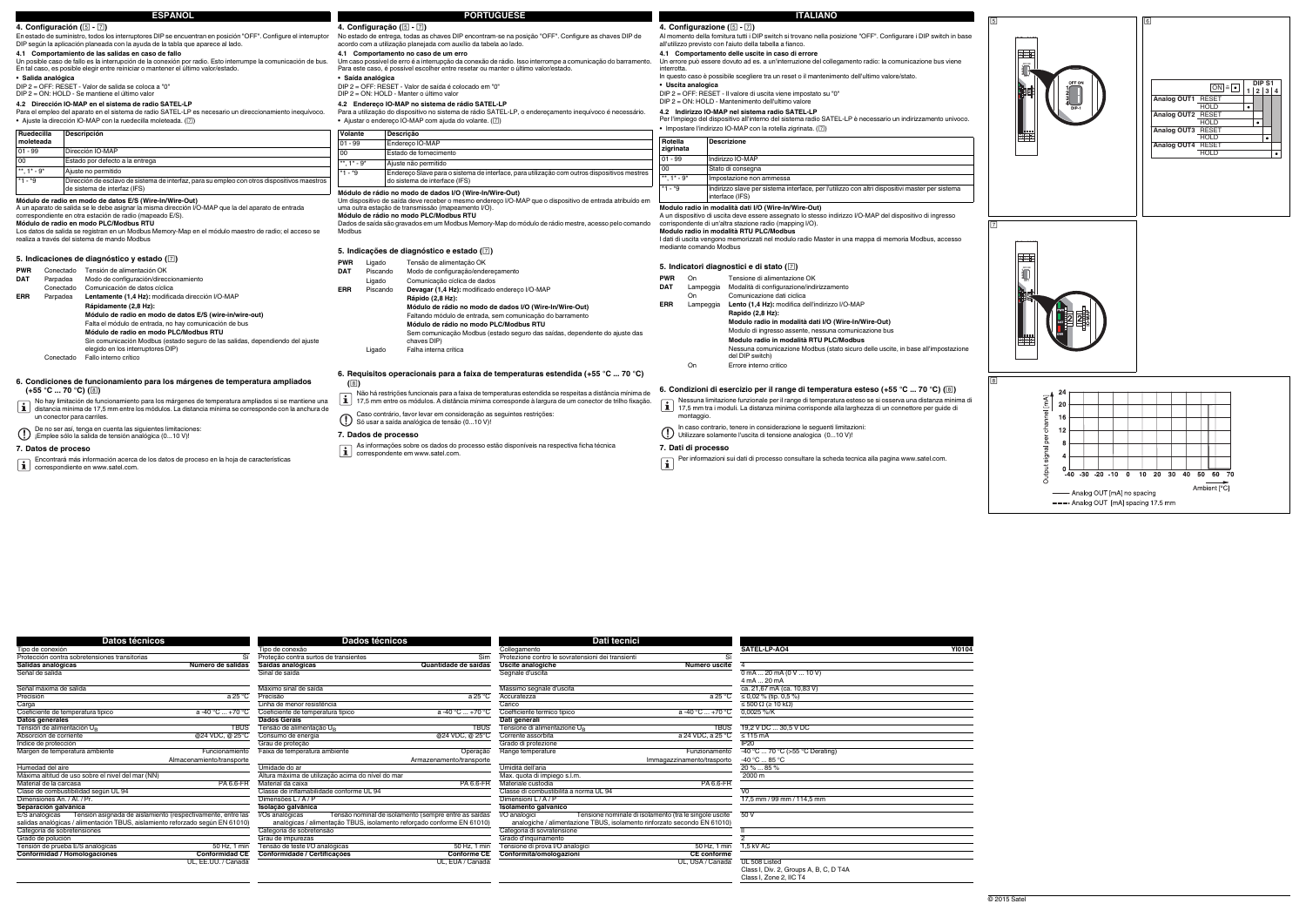| Datos técnicos                                                                |                       | Dados técnicos                                                         |                                                      | Dati tecnici                                                             |                                                        |                                                 |               |
|-------------------------------------------------------------------------------|-----------------------|------------------------------------------------------------------------|------------------------------------------------------|--------------------------------------------------------------------------|--------------------------------------------------------|-------------------------------------------------|---------------|
| Tipo de conexión                                                              |                       | Tipo de conexão                                                        |                                                      | Collegamento                                                             |                                                        | SATEL-LP-AO4                                    | <b>YI0104</b> |
| Protección contra sobretensiones transitorias                                 | Sí                    | Proteção contra surtos de transientes                                  | Sim                                                  | Protezione contro le sovratensioni dei transienti                        | -Sì                                                    |                                                 |               |
| Salidas analógicas                                                            | Número de salidas     | Saídas analógicas                                                      | Quantidade de saídas                                 | Uscite analogiche                                                        | Numero uscite                                          |                                                 |               |
| Señal de salida                                                               |                       | Sinal de saída                                                         |                                                      | Segnale d'uscita                                                         |                                                        | $0$ mA  20 mA (0 V  10 V)                       |               |
|                                                                               |                       |                                                                        |                                                      |                                                                          |                                                        | 4 mA  20 mA                                     |               |
| Señal máxima de salida                                                        |                       | Máximo sinal de saída                                                  |                                                      | Massimo segnale d'uscita                                                 |                                                        | ca. 21,67 mA (ca. 10,83 V)                      |               |
| Precisión                                                                     | $a25^{\circ}C$        | Precisão                                                               | $a25^{\circ}C$                                       | Accuratezza                                                              | a 25 $^{\circ}$ C                                      | $\leq$ 0,02 % (tip. 0,5 %)                      |               |
| Carga                                                                         |                       | Linha de menor resistência                                             |                                                      | Carico                                                                   |                                                        | $\leq 500 \Omega$ ( $\geq 10 \text{ k}\Omega$ ) |               |
| Coeficiente de temperatura típico                                             | $a - 40 °C  + 70 °C$  | Coeficiente de temperatura típico                                      | $a - 40 °C  + 70 °C$                                 | Coefficiente termico tipico                                              | $a - 40 °C  + 70 °C$                                   | $0.0025 \%$ /K                                  |               |
| Datos generales                                                               |                       | <b>Dados Gerais</b>                                                    |                                                      | Dati generali                                                            |                                                        |                                                 |               |
| Tensión de alimentación U <sub>n</sub>                                        | <b>TBUS</b>           | Tensão de alimentação UB                                               | <b>TBUS</b>                                          | Tensione di alimentazione U <sub>p</sub>                                 | <b>TBUS</b>                                            | 19,2 V DC  30,5 V DC                            |               |
| Absorción de corriente                                                        | @24 VDC, @ 25°C       | Consumo de energia                                                     | @24 VDC, @ 25°C                                      | Corrente assorbita                                                       | a 24 VDC, a 25 °C                                      | $\leq 115$ mA                                   |               |
| Indice de protección                                                          |                       | Grau de proteção                                                       |                                                      | Grado di protezione                                                      |                                                        | <b>IP20</b>                                     |               |
| Margen de temperatura ambiente                                                | Funcionamiento        | Faixa de temperatura ambiente                                          | Operação                                             | Range temperature                                                        | Funzionamento                                          | -40 °C  70 °C (>55 °C Derating)                 |               |
| Almacenamiento/transporte                                                     |                       |                                                                        | Armazenamento/transporte                             |                                                                          | Immagazzinamento/trasporto                             | $-40 °C  85 °C$                                 |               |
| Humedad del aire                                                              |                       | Umidade do ar                                                          |                                                      | Umidità dell'aria                                                        |                                                        | $20\%$ 85 %                                     |               |
| Máxima altitud de uso sobre el nivel del mar (NN)                             |                       | Altura máxima de utilização acima do nível do mar                      |                                                      | Max. quota di impiego s.l.m.                                             |                                                        | 2000 m                                          |               |
| Material de la carcasa                                                        | <b>PA 6.6-FR</b>      | Material da caixa                                                      | <b>PA 6.6-FR</b>                                     | Materiale custodia                                                       | <b>PA 6.6-FR</b>                                       |                                                 |               |
| Clase de combustibilidad según UL 94                                          |                       | Classe de inflamabilidade conforme UL 94                               |                                                      | Classe di combustibilità a norma UL 94                                   |                                                        | VO                                              |               |
| Dimensiones An. / Al. / Pr.                                                   |                       | Dimensões L/A/P                                                        |                                                      | Dimensioni L/A/P                                                         |                                                        | 17.5 mm / 99 mm / 114.5 mm                      |               |
| Separación galvánica                                                          |                       | Isolacão galvânica                                                     |                                                      | Isolamento galvanico                                                     |                                                        |                                                 |               |
| Tensión asignada de aislamiento (respectivamente, entre las<br>E/S analógicas |                       | I/Os analógicas                                                        | Tensão nominal de isolamento (sempre entre as saídas | I/O analogici                                                            | Tensione nominale di isolamento (tra le singole uscite | 50 V                                            |               |
| salidas analógicas / alimentación TBUS, aislamiento reforzado según EN 61010) |                       | analógicas / alimentação TBUS, isolamento reforçado conforme EN 61010) |                                                      | analogiche / alimentazione TBUS, isolamento rinforzato secondo EN 61010) |                                                        |                                                 |               |
| Categoría de sobretensiones                                                   |                       | Categoria de sobretensão                                               |                                                      | Categoria di sovratensione                                               |                                                        |                                                 |               |
| Grado de polución                                                             |                       | Grau de impurezas                                                      |                                                      | Grado d'inquinamento                                                     |                                                        |                                                 |               |
| Tensión de prueba E/S analógicas                                              | 50 Hz. 1 min          | Tensão de teste I/O analógicas                                         | 50 Hz, 1 min                                         | Tensione di prova I/O analogici                                          | 50 Hz, 1 min                                           | 1,5 kV AC                                       |               |
| <b>Conformidad / Homologaciones</b>                                           | <b>Conformidad CE</b> | Conformidade / Certificações                                           | <b>Conforme CE</b>                                   | Conformità/omologazioni                                                  | <b>CE</b> conforme                                     |                                                 |               |
|                                                                               | UL, EE.UU. / Canadá   |                                                                        | UL, EUA / Canadá                                     |                                                                          | UL, USA / Canada                                       | UL 508 Listed                                   |               |
|                                                                               |                       |                                                                        |                                                      |                                                                          |                                                        | Class I, Div. 2, Groups A, B, C, D T4A          |               |
|                                                                               |                       |                                                                        |                                                      |                                                                          |                                                        | Class I. Zone 2. IIC T4                         |               |

 Per l'impiego del dispositivo all'interno del sistema radio SATEL-LP è necessario un indirizzamento univoco. • Impostare l'indirizzo IO-MAP con la rotella zigrinata. (2)

**Modulo radio in modalità dati I/O (Wire-In/Wire-Out)** interface (IFS) atribuído em

- **4. Configurazione ( )**
- Al momento della fornitura tutti i DIP switch si trovano nella posizione "OFF". Configurare i DIP switch in base all'utilizzo previsto con l'aiuto della tabella a fianco.
- **4.1 Comportamento delle uscite in caso di errore**
- Un errore può essere dovuto ad es. a un'interruzione del collegamento radio: la comunicazione bus viene interrotta.
- In questo caso è possibile scegliere tra un reset o il mantenimento dell'ultimo valore/stato.
- **• Uscita analogica** DIP 2 = OFF: RESET Il valore di uscita viene impostato su "0"
- 
- DIP 2 = ON: HOLD Mantenimento dell'ultimo valore **4.2 Indirizzo IO-MAP nel sistema radio SATEL-LP**
- 

### **6. Condiciones de funcionamiento para los márgenes de temperatura ampliados**   $(+55 °C ... 70 °C)$  ( $\circledcirc$ )

A un dispositivo di uscita deve essere assegnato lo stesso indirizzo I/O-MAP del dispositivo di ingresso corrispondente di un'altra stazione radio (mapping I/O). **Modulo radio in modalità RTU PLC/Modbus**

I dati di uscita vengono memorizzati nel modulo radio Master in una mappa di memoria Modbus, accesso mediante comando Modbus

# **5. Indicatori diagnostici e di stato ()**

#### **7. Dati di processo**

#### **Rotella zigrinata Descrizione** 01 - 99 Indirizzo IO-MAP Stato di consegna mpostazione non ammessa \*1- \*9 Indirizzo slave per sistema interface, per l'utilizzo con altri dispositivi master per sistema

**PWR** On Tensione di alimentazione OK **DAT**Lampeggia Modalità di configurazione/indirizzamento<br>On Comunicazione dati ciclica Comunicazione dati ciclica Lampeggia **Lento (1,4 Hz):** modifica dell'indirizzo I/O-MAP **ERRRapido (2,8 Hz): Modulo radio in modalità dati I/O (Wire-In/Wire-Out)** Modulo di ingresso assente, nessuna comunicazione bus **Modulo radio in modalità RTU PLC/Modbus** Nessuna comunicazione Modbus (stato sicuro delle uscite, in base all'impostazione del DIP switch) On Errore interno critico

# **6.** Condizioni di esercizio per il range di temperatura esteso (+55 °C ... 70 °C) (8)

- Nessuna limitazione funzionale per il range di temperatura esteso se si osserva una distanza minima di 17,5 mm tra i moduli. La distanza minima corrisponde alla larghezza di un connettore per guide di montaggio.
- 
- In caso contrario, tenere in considerazione le seguenti limitazioni: Utilizzare solamente l'uscita di tensione analogica (0...10 V)!

- Per informazioni sui dati di processo consultare la scheda tecnica alla pagina www.satel.com.
- 

# **7. Datos de proceso**

- No hay limitación de funcionamiento para los márgenes de temperatura ampliados si se mantiene una distancia mínima de 17,5 mm entre los módulos. La distancia mínima se corresponde con la anchura de un conector para carriles.
- De no ser así, tenga en cuenta las siguientes limitaciones: ¡Emplee sólo la salida de tensión analógica (0...10 V)!
- 

| 4. Configuración (5 - 7)                                                                                                                                                                                                                                                                                                                                                                                                    |                                                                                                                                                                                                                                                                                                                                                                                                                                                                                                                                                                        |                                                                                                                                                                                                                                                                                                                                                                                                                                                                                                                                                                          |                                                                                                                                                                                                                                                                                                                         |                                                                                                                                                                                                                                                                                                                                                                                                                                                             |  |
|-----------------------------------------------------------------------------------------------------------------------------------------------------------------------------------------------------------------------------------------------------------------------------------------------------------------------------------------------------------------------------------------------------------------------------|------------------------------------------------------------------------------------------------------------------------------------------------------------------------------------------------------------------------------------------------------------------------------------------------------------------------------------------------------------------------------------------------------------------------------------------------------------------------------------------------------------------------------------------------------------------------|--------------------------------------------------------------------------------------------------------------------------------------------------------------------------------------------------------------------------------------------------------------------------------------------------------------------------------------------------------------------------------------------------------------------------------------------------------------------------------------------------------------------------------------------------------------------------|-------------------------------------------------------------------------------------------------------------------------------------------------------------------------------------------------------------------------------------------------------------------------------------------------------------------------|-------------------------------------------------------------------------------------------------------------------------------------------------------------------------------------------------------------------------------------------------------------------------------------------------------------------------------------------------------------------------------------------------------------------------------------------------------------|--|
| · Salida analógica                                                                                                                                                                                                                                                                                                                                                                                                          | En estado de suministro, todos los interruptores DIP se encuentran en posición "OFF". Configure el interruptor<br>DIP según la aplicación planeada con la ayuda de la tabla que aparece al lado.<br>4.1 Comportamiento de las salidas en caso de fallo<br>Un posible caso de fallo es la interrupción de la conexión por radio. Esto interrumpe la comunicación de bus.<br>En tal caso, es posible elegir entre reiniciar o mantener el último valor/estado.<br>DIP 2 = OFF: RESET - Valor de salida se coloca a "0"<br>DIP 2 = ON: HOLD - Se mantiene el último valor | 4. Configuração (5 - 7)<br>No estado de entrega, todas as chaves DIP encontram-se na posição "OFF". Configure as chaves DIP de<br>acordo com a utilização planejada com auxílio da tabela ao lado.<br>4.1 Comportamento no caso de um erro<br>Um caso possível de erro é a interrupção da conexão de rádio. Isso interrompe a comunicação do barramento.<br>Para este caso, é possível escolher entre resetar ou manter o último valor/estado.<br>· Saída analógica<br>DIP 2 = OFF: RESET - Valor de saída é colocado em "0"<br>DIP 2 = ON: HOLD - Manter o último valor |                                                                                                                                                                                                                                                                                                                         |                                                                                                                                                                                                                                                                                                                                                                                                                                                             |  |
|                                                                                                                                                                                                                                                                                                                                                                                                                             | 4.2 Dirección IO-MAP en el sistema de radio SATEL-LP<br>Para el empleo del aparato en el sistema de radio SATEL-LP es necesario un direccionamiento inequívoco.<br>• Ajuste la dirección IO-MAP con la ruedecilla moleteada. ([7])                                                                                                                                                                                                                                                                                                                                     |                                                                                                                                                                                                                                                                                                                                                                                                                                                                                                                                                                          |                                                                                                                                                                                                                                                                                                                         | 4.2 Endereco IO-MAP no sistema de rádio SATEL-LP<br>Para a utilização do dispositivo no sistema de rádio SATEL-LP, o enderecamento inequívoco é necessário.<br>• Ajustar o endereco IO-MAP com ajuda do volante. ([7])                                                                                                                                                                                                                                      |  |
| Ruedecilla<br>moleteada                                                                                                                                                                                                                                                                                                                                                                                                     | Descripción                                                                                                                                                                                                                                                                                                                                                                                                                                                                                                                                                            | Volante                                                                                                                                                                                                                                                                                                                                                                                                                                                                                                                                                                  |                                                                                                                                                                                                                                                                                                                         | Descrição                                                                                                                                                                                                                                                                                                                                                                                                                                                   |  |
| $01 - 99$                                                                                                                                                                                                                                                                                                                                                                                                                   | Dirección IO-MAP                                                                                                                                                                                                                                                                                                                                                                                                                                                                                                                                                       | $01 - 99$<br>00                                                                                                                                                                                                                                                                                                                                                                                                                                                                                                                                                          |                                                                                                                                                                                                                                                                                                                         | Endereco IO-MAP                                                                                                                                                                                                                                                                                                                                                                                                                                             |  |
| 00                                                                                                                                                                                                                                                                                                                                                                                                                          | Estado por defecto a la entrega                                                                                                                                                                                                                                                                                                                                                                                                                                                                                                                                        | **, $1^*$ - $9^*$                                                                                                                                                                                                                                                                                                                                                                                                                                                                                                                                                        |                                                                                                                                                                                                                                                                                                                         | Estado de fornecimento<br>Ajuste não permitido                                                                                                                                                                                                                                                                                                                                                                                                              |  |
| **, $1^*$ - $9^*$                                                                                                                                                                                                                                                                                                                                                                                                           | Ajuste no permitido                                                                                                                                                                                                                                                                                                                                                                                                                                                                                                                                                    | $*1 - *9$                                                                                                                                                                                                                                                                                                                                                                                                                                                                                                                                                                |                                                                                                                                                                                                                                                                                                                         | Endereco Slave para o sistema de interface, para utilização com outros dispositivos mestres                                                                                                                                                                                                                                                                                                                                                                 |  |
| *1 - *9                                                                                                                                                                                                                                                                                                                                                                                                                     | Dirección de esclavo de sistema de interfaz, para su empleo con otros dispositivos maestros<br>de sistema de interfaz (IFS)                                                                                                                                                                                                                                                                                                                                                                                                                                            |                                                                                                                                                                                                                                                                                                                                                                                                                                                                                                                                                                          |                                                                                                                                                                                                                                                                                                                         | do sistema de interface (IFS)                                                                                                                                                                                                                                                                                                                                                                                                                               |  |
| Módulo de radio en modo de datos E/S (Wire-In/Wire-Out)<br>A un aparato de salida se le debe asignar la misma dirección I/O-MAP que la del aparato de entrada<br>correspondiente en otra estación de radio (mapeado E/S).<br>Módulo de radio en modo PLC/Modbus RTU<br>Los datos de salida se registran en un Modbus Memory-Map en el módulo maestro de radio; el acceso se<br>realiza a través del sistema de mando Modbus |                                                                                                                                                                                                                                                                                                                                                                                                                                                                                                                                                                        |                                                                                                                                                                                                                                                                                                                                                                                                                                                                                                                                                                          | Um dispositivo de saída deve receber o mesmo endereco I/O-MAP que o dispositivo de entrada atribuído em<br>uma outra estação de transmissão (mapeamento I/O).<br>Módulo de rádio no modo PLC/Modbus RTU<br>Dados de saída são gravados em um Modbus Memory-Map do módulo de rádio mestre, acesso pelo comando<br>Modbus |                                                                                                                                                                                                                                                                                                                                                                                                                                                             |  |
|                                                                                                                                                                                                                                                                                                                                                                                                                             |                                                                                                                                                                                                                                                                                                                                                                                                                                                                                                                                                                        |                                                                                                                                                                                                                                                                                                                                                                                                                                                                                                                                                                          |                                                                                                                                                                                                                                                                                                                         | 5. Indicações de diagnóstico e estado ( $\boxed{7}$ )                                                                                                                                                                                                                                                                                                                                                                                                       |  |
| <b>PWR</b><br><b>DAT</b><br>Parpadea<br>Conectado<br><b>ERR</b><br>Parpadea                                                                                                                                                                                                                                                                                                                                                 | 5. Indicaciones de diagnóstico y estado ([7])<br>Conectado Tensión de alimentación OK<br>Modo de configuración/direccionamiento<br>Comunicación de datos cíclica<br>Lentamente (1,4 Hz): modificada dirección I/O-MAP<br>Rápidamente (2,8 Hz):<br>Módulo de radio en modo de datos E/S (wire-in/wire-out)<br>Falta el módulo de entrada, no hay comunicación de bus<br>Módulo de radio en modo PLC/Modbus RTU<br>Sin comunicación Modbus (estado seguro de las salidas, dependiendo del ajuste<br>elegido en los interruptores DIP)                                    | <b>PWR</b><br>DAT<br><b>ERR</b>                                                                                                                                                                                                                                                                                                                                                                                                                                                                                                                                          | Ligado<br>Piscando<br>Ligado<br>Piscando<br>Ligado                                                                                                                                                                                                                                                                      | Tensão de alimentação OK<br>Modo de configuração/endereçamento<br>Comunicação cíclica de dados<br>Devagar (1,4 Hz): modificado endereço I/O-MAP<br>Rápido (2,8 Hz):<br>Módulo de rádio no modo de dados I/O (Wire-In/Wire-Out)<br>Faltando módulo de entrada, sem comunicação do barramento<br>Módulo de rádio no modo PLC/Modbus RTU<br>Sem comunicação Modbus (estado seguro das saídas, dependente do ajuste das<br>chaves DIP)<br>Falha interna crítica |  |
| Conectado                                                                                                                                                                                                                                                                                                                                                                                                                   | Fallo interno crítico                                                                                                                                                                                                                                                                                                                                                                                                                                                                                                                                                  |                                                                                                                                                                                                                                                                                                                                                                                                                                                                                                                                                                          |                                                                                                                                                                                                                                                                                                                         |                                                                                                                                                                                                                                                                                                                                                                                                                                                             |  |

- Encontrará más información acerca de los datos de proceso en la hoja de características correspondiente en www.satel.com.
- 

# **6. Requisitos operacionais para a faixa de temperaturas estendida (+55 °C ... 70 °C)**

**()**

# **7. Dados de processo**

Não há restrições funcionais para a faixa de temperaturas estendida se respeitas a distância mínima de 17,5 mm entre os módulos. A distância mínima corresponde à largura de um conector de trilho fixação.

Caso contrário, favor levar em consideração as seguintes restrições: Só usar a saída analógica de tensão (0...10 V)!

- 
- As informações sobre os dados do processo estão disponíveis na respectiva ficha técnica correspondente em www.satel.com.

# **ITALIANO**

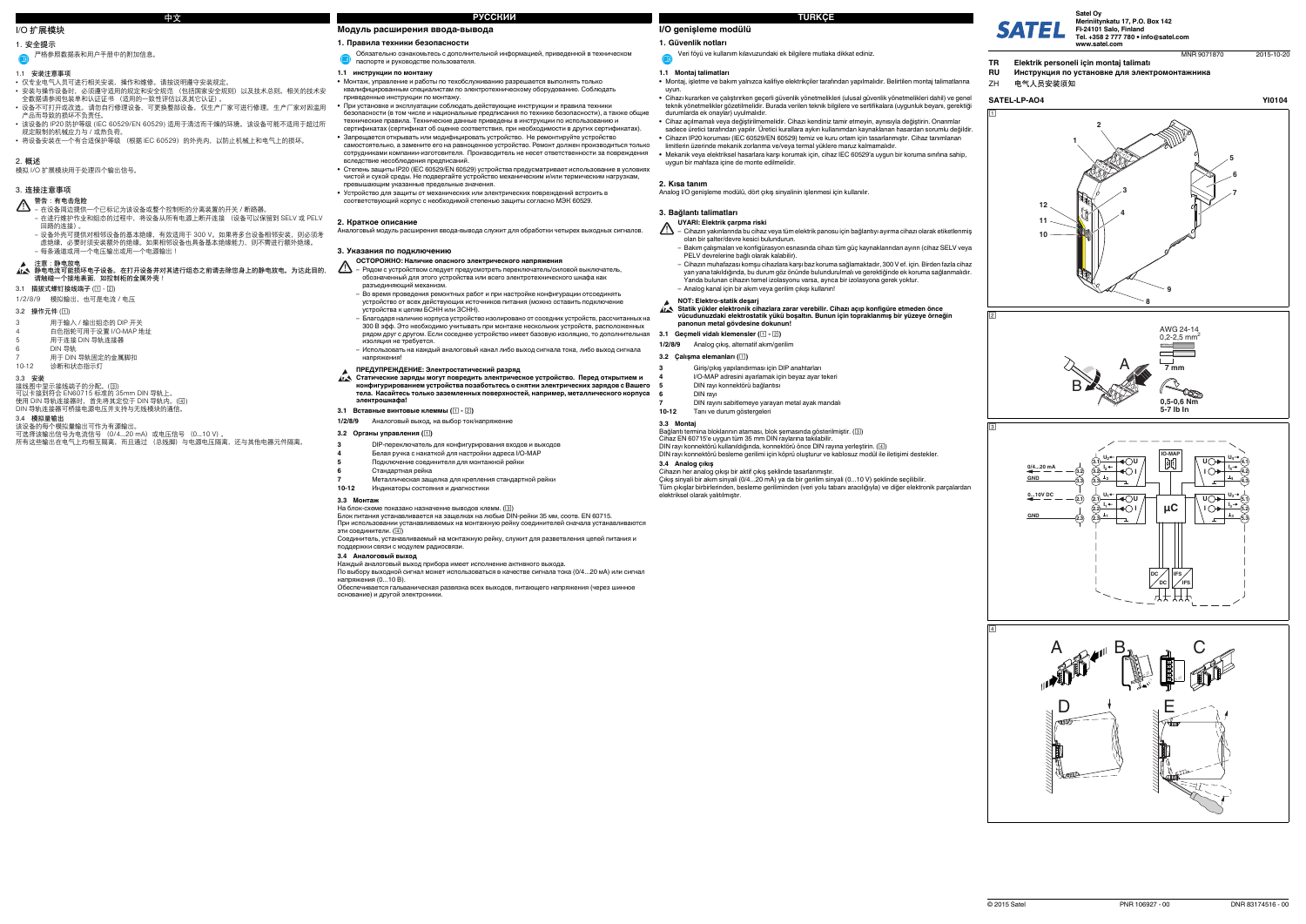# **I/O genişleme modülü**

**1. Güvenlik notları**

# **1.1 Montaj talimatları**

- **•** Montaj, işletme ve bakım yalnızca kalifiye elektrikçiler tarafından yapılmalıdır. Belirtilen montaj talimatlarına uyun.
- Cihazı kurarken ve çalıştırırken geçerli güvenlik yönetmelikleri (ulusal güvenlik yönetmelikleri dahil) ve genel<br>1910- teknik yönetmelikler gözetilmelidir. Burada verilen teknik bilgilere ve sertifikalara (uygunluk beya durumlarda ek onaylar) uyulmalıdır.
- **•** Cihaz açılmamalı veya değiştirilmemelidir. Cihazı kendiniz tamir etmeyin, aynısıyla değiştirin. Onarımlar sadece üretici tarafından yapılır. Üretici kurallara aykırı kullanımdan kaynaklanan hasardan sorumlu değildir.
- **•** Cihazın IP20 koruması (IEC 60529/EN 60529) temiz ve kuru ortam için tasarlanmıştır. Cihaz tanımlanan limitlerin üzerinde mekanik zorlanma ve/veya termal yüklere maruz kalmamalıdır.
- **•** Mekanik veya elektriksel hasarlara karşı korumak için, cihaz IEC 60529'a uygun bir koruma sınıfına sahip, uygun bir mahfaza içine de monte edilmelidir.

# **2. Kısa tanım**

Analog I/O genişleme modülü, dört çıkış sinyalinin işlenmesi için kullanılır.

### **3. Bağlantı talimatları**

**3.1 Geçmeli vidalı klemensler ( - )**

**3.3 Montaj**

- $\Delta$ – Cihazın yakınlarında bu cihaz veya tüm elektrik panosu için bağlantıyı ayırma cihazı olarak etiketlenmiş olan bir şalter/devre kesici bulundurun.
	- Bakım çalışmaları ve konfigürasyon esnasında cihazı tüm güç kaynaklarından ayırın (cihaz SELV veya PELV devrelerine bağlı olarak kalabilir).
	- Cihazın muhafazası komşu cihazlara karşı baz koruma sağlamaktadır, 300 V ef. için. Birden fazla cihaz yan yana takıldığında, bu durum göz önünde bulundurulmalı ve gerektiğinde ek koruma sağlanmalıdır. Yanda bulunan cihazın temel izolasyonu varsa, ayrıca bir izolasyona gerek yoktur. – Analog kanal için bir akım veya gerilim çıkışı kullanın!

Bağlantı termina bloklarının ataması, blok şemasında gösterilmiştir. ( ) Cihaz EN 60715'e uygun tüm 35 mm DIN raylarına takılabilir. DIN rayı konnektörü kullanıldığında, konnektörü önce DIN rayına yerleştirin. ( )

DIN rayı konnektörü besleme gerilimi için köprü oluşturur ve kablosuz modül ile iletişimi destekler.

**3.4 Analog çıkış**

Cihazın her analog çıkışı bir aktif çıkış şeklinde tasarlanmıştır.

Çıkış sinyali bir akım sinyali (0/4...20 mA) ya da bir gerilim sinyali (0...10 V) şeklinde seçilibilir.

- 该设备的 IP20 防护等级 (IEC 60529/EN 60529) 适用于清洁而干燥的环境。 该设备可能不适用于超过所 规定限制的机械应力与 / 或热负荷。
- 将设备安装在一个有合适保护等级 (根据 IEC 60529)的外壳内,以防止机械上和电气上的损坏。

Tüm çıkışlar birbirlerinden, besleme geriliminden (veri yolu tabanı aracılığıyla) ve diğer elektronik parçalardan

- **3.3 安装** 接线图中显示接线端子的分配。( )
- 可以卡接到符合 EN60715 标准的 35mm DIN 导轨上。<br>使用 DIN 导轨连接器时,首先将其定位于 DIN 导轨内。(国)
- DIN 导轨连接器可桥接电源电压并支持与无线模块的通信。
- **3.4 模拟量输出**
- 
- 该设备的每个模拟量输出可作为有源输出。<br>可选择该输出信号为电流信号 (0/4...20 mA) 或电压信号 (0...10 V) 。<br>所有这些输出在电气上均相互隔离,而且通过 (总线脚)与电源电压隔离,还与其他电器元件隔离。

elektriksel olarak yalıtılmıştır.

# Veri föyü ve kullanım kılavuzundaki ek bilgilere mutlaka dikkat ediniz.

# **UYARI: Elektrik çarpma riski**

- **1/2/8/9**Analog çıkış, alternatif akım/gerilim
- **3.2 Çalışma elemanları ()**
- 注意:静电放电<br>静电电流可能损坏电子设备。在打开设备并对其进行组态之前请去除您身上的静电放电。为达此目的, **请触碰一个接地表面,如控制柜的金属外壳!**
- **3.1 插拔式螺钉接线端子 ( )**
- 1/2/8/9 模拟输出,也可是电流 / 电压

**NOT: Elektro-statik deşarj Statik yükler elektronik cihazlara zarar verebilir. Cihazı açıp konfigüre etmeden önce vücudunuzdaki elektrostatik yükü boşaltın. Bunun için topraklanmış bir yüzeye örneğin panonun metal gövdesine dokunun!**

# **3**

**4**

- Giriş/çıkış yapılandırması için DIP anahtarları
- I/O-MAP adresini ayarlamak için beyaz ayar tekeri
- DIN rayı konnektörü bağlantısı
- DIN rayı

#### На блок-схеме показано назначение выводов клемм.  $(\overline{\text{3}})$ Блок питания устанавливается на защелках на любые DIN-рейки 35 мм, соотв. EN 60715.

**5**

**6**

**7**

эти соединители. (④) Соединитель, устанавливаемый на монтажную рейку, служит для разветвления цепей питания <sup>и</sup>

 DIN rayını sabitlemeye yarayan metal ayak mandalı **10-12**Tanı ve durum göstergeleri

# **I/O 扩展模块**

# **1. 安全提示**

### **1.1 安装注意事项**

- **•** 仅专业电气人员可进行相关安装、操作和维修。请按说明遵守安装规定。
- 安装与操作设备时,必须遵守适用的规定和安全规范 (包括国家安全规则)以及技术总则。相关的技术安<br>- 全数据请参阅包装单和认证证书 (适用的一致性评估以及其它认证)。
- 设备不可打开或改造。 请勿自行修理设备,可更换整部设备。仅生产厂家可进行修理。生产厂家对因滥用 产品而导致的损坏不负责任。

 $O62222$ .<br>вская развязка всех выходов, питающего напряжения (через шинное основание) <sup>и</sup> другой электроники.

- **ОСТОРОЖНО: Наличие опасного электрического напряжения**
- $\triangle$  Рядом <sup>с</sup> устройством следует предусмотреть переключатель/силовой выключатель, обозначенный для этого устройства или всего электротехнического шкафа как разъединяющий механизм.
	- Во время проведения ремонтных работ <sup>и</sup> при настройке конфигурации отсоединять устройство от всех действующих источников питания (можно оставить подключение устройства <sup>к</sup> цепям БСНН или ЗСНН).
	- Благодаря наличию корпуса устройство изолировано от соседних устройств, рассчитанных на 300 В эфф. Это необходимо учитывать при монтаже нескольких устройств, расположенных рядом друг <sup>с</sup> другом. Если соседнее устройство имеет базовую изоляцию, то дополнительная изоляция не требуется.
	- Использовать на каждый аналоговый канал либо выход сигнала тока, либо выход сигнала напряже

**2. 概述** 模拟 I/O 扩展模块用于处理四个输出信号。

## **3. 连接注意事项**

#### **3.2 操作元件 ( )**

严格参照数据表和用户手册中的附加信息。

Статические заряды могут повредить электрическое устройство. Перед открытием и<br>конфигурированием устройства позаботьтесь о снятии электрических зарядов с Вашего **тела. Касайтесь только заземленных поверхностей, например, металлического корпуса электрошкафа!**

- **警告: 有电击危险** 在设备周边提供一个已标记为该设备或整个控制柜的分离装置的开关 / 断路器。 在进行维护作业和组态的过程中,将设备从所有电源上断开连接 (设备可以保留到 SELV 或 PELV 回路的连接)。
- 设备外壳可提供对相邻设备的基本绝缘,有效适用于 300 V。如果将多台设备相邻安装,则必须考
- 虑绝缘,必要时须安装额外的绝缘。如果相邻设备也具备基本绝缘能力,则不需进行额外绝缘。 – 每条通道或用一个电压输出或用一个电源输出!

- 3 用于输入 / 输出组态的 DIP 开关
- 4 白色指轮可用于设置 I/O-MAP 地址
- 5 用于连接 DIN 导轨连接器
- 6 DIN 导轨
- 7 用于 DIN 导轨固定的金属脚扣<br>10-12 诊断和状态指示灯 10-12 诊断和状态指示灯

**Модуль расширения ввода-вывода**

#### **1. Правила техники безопасности**

# **1.1 инструкции по монтажу**

- **•** Монтаж, управление <sup>и</sup> работы по техобслуживанию разрешается выполнять только квалифицированным специалистам по электротехническому оборудованию. Соблюдать приведенные инструкции по монтажу.
- **•** При установке <sup>и</sup> эксплуатации соблюдать действующие инструкции <sup>и</sup> правила техники безопасности (<sup>в</sup> том числе <sup>и</sup> национальные предписания по технике безопасности), <sup>а</sup> также общие технические правила. Технические данные приведены <sup>в</sup> инструкции по использованию <sup>и</sup> сертификатах (сертификат об оценке соответствия, при необходимости <sup>в</sup> других сертификатах).
- **•** Запрещается открывать или модифицировать устройство. Не ремонтируйте устройство самостоятельно, <sup>а</sup> замените его на равноценное устройство. Ремонт должен производиться только сотрудниками компании-изготовителя. Производитель не несет ответственности за повреждения вследствие несоблюдения предписаний.
- **•** Степень защиты IP20 (IEC 60529/EN 60529) устройства предусматривает использование <sup>в</sup> условиях чистой <sup>и</sup> сухой среды. Не подвергайте устройство механическим <sup>и</sup>/или термическим нагрузкам, прухой ороды. Не подвергалте устройстве<br>ающим указанные предельные значения.
- **•** Устройство для защиты от механических или электрических повреждений встроить <sup>в</sup>
- соответствующий корпус <sup>с</sup> необходимой степенью защиты согласно МЭК 60529.

#### **2. Краткое описание**

Аналоговый модуль расширения ввода-вывода служит для обработки четырех выходных сигналов.

#### **3. Указания по подключению**

#### **3.1 Вставные винтовые клеммы ( - )**

#### **3.2 Органы управления ()**

**3.3 Монтаж**

При использовании устанавливаемых на монтажную рейку соединителей сначала устанавливаются

# поддержки связи с модулем радиосвязи.

### **3.4 Аналоговый выход**

- Каждый аналоговый выход прибора имеет исполнение активного выхода.
- По выбору выходной сигнал может использоваться <sup>в</sup> качестве сигнала тока (0/4...20 мА) или сигнал

напряжения (0...10 В).

Обязательно ознакомьтесь <sup>с</sup> дополнительной информацией, приведенной <sup>в</sup> техническом паспорте <sup>и</sup> руководстве пользователя.

# **ПРЕДУПРЕЖДЕНИЕ: Электростатический разряд**

**1/2/8/9** Аналоговый выход, на выбор ток/напряжение

- **3**DIP-переключатель для конфигурирования входов <sup>и</sup> выходов Белая ручка <sup>с</sup> накаткой для настройки адреса I/O-MAP
- **4**
- **5**Подключение соединителя для монтажной рейки
- **6**Стандартная рейка

#### **7** Металлическая защелка для крепления стандартной рейки **10-12**Индикаторы состояния <sup>и</sup> диагностики

**中文**